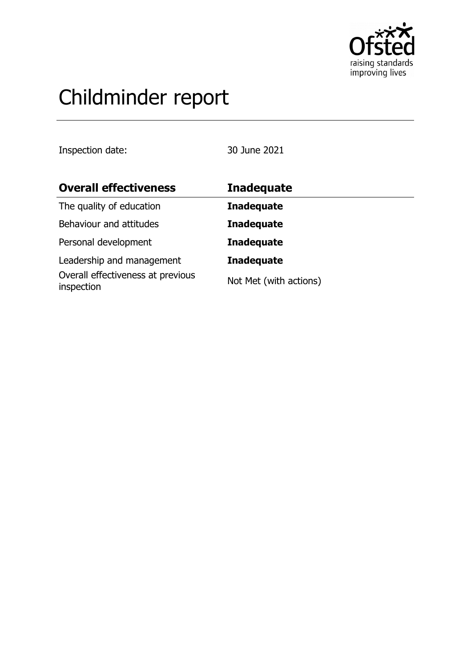

# Childminder report

Inspection date: 30 June 2021

| <b>Overall effectiveness</b>                    | <b>Inadequate</b>      |
|-------------------------------------------------|------------------------|
| The quality of education                        | <b>Inadequate</b>      |
| Behaviour and attitudes                         | <b>Inadequate</b>      |
| Personal development                            | <b>Inadequate</b>      |
| Leadership and management                       | <b>Inadequate</b>      |
| Overall effectiveness at previous<br>inspection | Not Met (with actions) |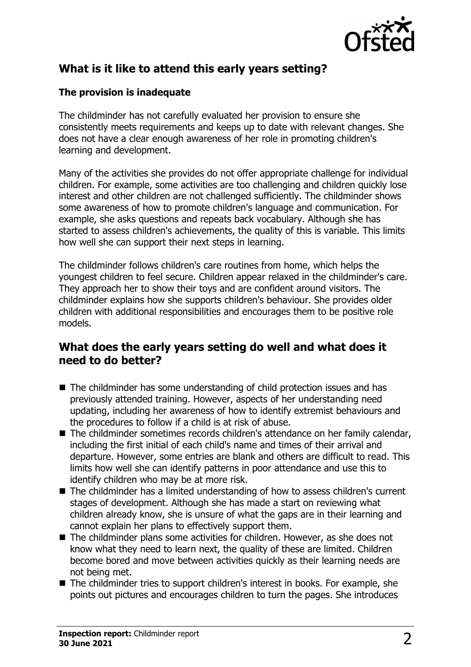

# **What is it like to attend this early years setting?**

### **The provision is inadequate**

The childminder has not carefully evaluated her provision to ensure she consistently meets requirements and keeps up to date with relevant changes. She does not have a clear enough awareness of her role in promoting children's learning and development.

Many of the activities she provides do not offer appropriate challenge for individual children. For example, some activities are too challenging and children quickly lose interest and other children are not challenged sufficiently. The childminder shows some awareness of how to promote children's language and communication. For example, she asks questions and repeats back vocabulary. Although she has started to assess children's achievements, the quality of this is variable. This limits how well she can support their next steps in learning.

The childminder follows children's care routines from home, which helps the youngest children to feel secure. Children appear relaxed in the childminder's care. They approach her to show their toys and are confident around visitors. The childminder explains how she supports children's behaviour. She provides older children with additional responsibilities and encourages them to be positive role models.

## **What does the early years setting do well and what does it need to do better?**

- $\blacksquare$  The childminder has some understanding of child protection issues and has previously attended training. However, aspects of her understanding need updating, including her awareness of how to identify extremist behaviours and the procedures to follow if a child is at risk of abuse.
- The childminder sometimes records children's attendance on her family calendar, including the first initial of each child's name and times of their arrival and departure. However, some entries are blank and others are difficult to read. This limits how well she can identify patterns in poor attendance and use this to identify children who may be at more risk.
- $\blacksquare$  The childminder has a limited understanding of how to assess children's current stages of development. Although she has made a start on reviewing what children already know, she is unsure of what the gaps are in their learning and cannot explain her plans to effectively support them.
- $\blacksquare$  The childminder plans some activities for children. However, as she does not know what they need to learn next, the quality of these are limited. Children become bored and move between activities quickly as their learning needs are not being met.
- $\blacksquare$  The childminder tries to support children's interest in books. For example, she points out pictures and encourages children to turn the pages. She introduces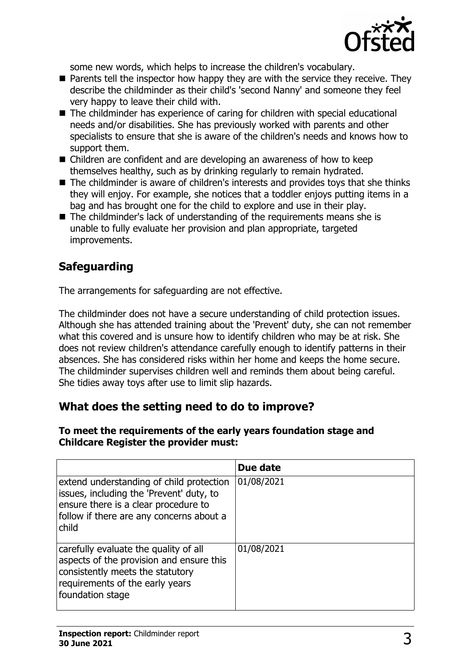

some new words, which helps to increase the children's vocabulary.

- $\blacksquare$  Parents tell the inspector how happy they are with the service they receive. They describe the childminder as their child's 'second Nanny' and someone they feel very happy to leave their child with.
- $\blacksquare$  The childminder has experience of caring for children with special educational needs and/or disabilities. She has previously worked with parents and other specialists to ensure that she is aware of the children's needs and knows how to support them.
- $\blacksquare$  Children are confident and are developing an awareness of how to keep themselves healthy, such as by drinking regularly to remain hydrated.
- $\blacksquare$  The childminder is aware of children's interests and provides toys that she thinks they will enjoy. For example, she notices that a toddler enjoys putting items in a bag and has brought one for the child to explore and use in their play.
- $\blacksquare$  The childminder's lack of understanding of the requirements means she is unable to fully evaluate her provision and plan appropriate, targeted improvements.

# **Safeguarding**

The arrangements for safeguarding are not effective.

The childminder does not have a secure understanding of child protection issues. Although she has attended training about the 'Prevent' duty, she can not remember what this covered and is unsure how to identify children who may be at risk. She does not review children's attendance carefully enough to identify patterns in their absences. She has considered risks within her home and keeps the home secure. The childminder supervises children well and reminds them about being careful. She tidies away toys after use to limit slip hazards.

## **What does the setting need to do to improve?**

#### **To meet the requirements of the early years foundation stage and Childcare Register the provider must:**

|                                                                                                                                                                                   | Due date   |
|-----------------------------------------------------------------------------------------------------------------------------------------------------------------------------------|------------|
| extend understanding of child protection<br>issues, including the 'Prevent' duty, to<br>ensure there is a clear procedure to<br>follow if there are any concerns about a<br>child | 01/08/2021 |
| carefully evaluate the quality of all<br>aspects of the provision and ensure this<br>consistently meets the statutory<br>requirements of the early years<br>foundation stage      | 01/08/2021 |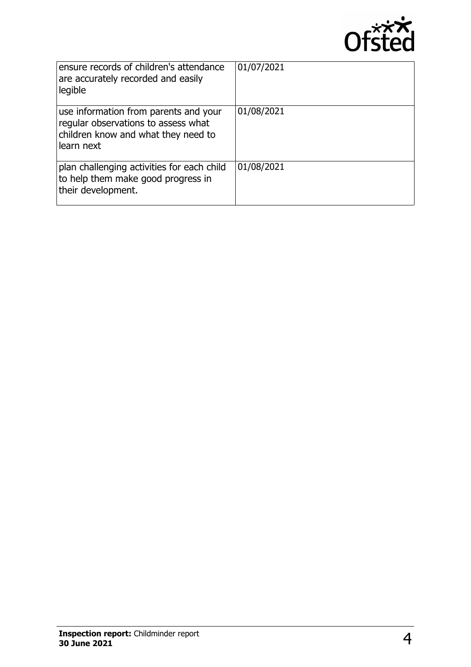

| ensure records of children's attendance<br>are accurately recorded and easily<br>legible                                          | 01/07/2021 |
|-----------------------------------------------------------------------------------------------------------------------------------|------------|
| use information from parents and your<br>regular observations to assess what<br>children know and what they need to<br>learn next | 01/08/2021 |
| plan challenging activities for each child<br>to help them make good progress in<br>their development.                            | 01/08/2021 |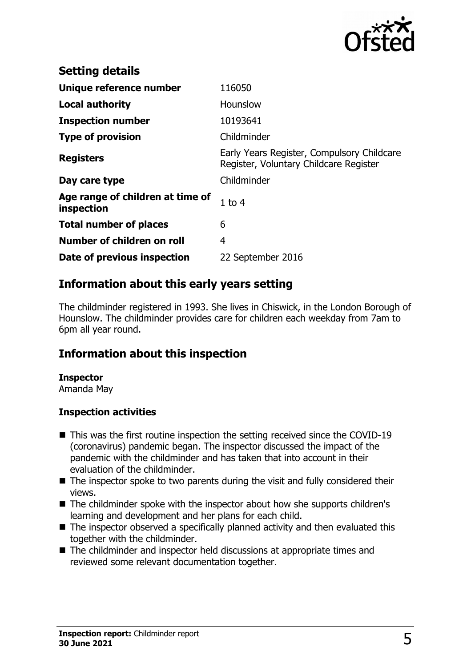

| <b>Setting details</b>                         |                                                                                      |
|------------------------------------------------|--------------------------------------------------------------------------------------|
| Unique reference number                        | 116050                                                                               |
| <b>Local authority</b>                         | <b>Hounslow</b>                                                                      |
| <b>Inspection number</b>                       | 10193641                                                                             |
| <b>Type of provision</b>                       | Childminder                                                                          |
| <b>Registers</b>                               | Early Years Register, Compulsory Childcare<br>Register, Voluntary Childcare Register |
| Day care type                                  | Childminder                                                                          |
| Age range of children at time of<br>inspection | $1$ to $4$                                                                           |
| <b>Total number of places</b>                  | 6                                                                                    |
| Number of children on roll                     | 4                                                                                    |
| Date of previous inspection                    | 22 September 2016                                                                    |

## **Information about this early years setting**

The childminder registered in 1993. She lives in Chiswick, in the London Borough of Hounslow. The childminder provides care for children each weekday from 7am to 6pm all year round.

## **Information about this inspection**

#### **Inspector**

Amanda May

#### **Inspection activities**

- $\blacksquare$  This was the first routine inspection the setting received since the COVID-19 (coronavirus) pandemic began. The inspector discussed the impact of the pandemic with the childminder and has taken that into account in their evaluation of the childminder.
- $\blacksquare$  The inspector spoke to two parents during the visit and fully considered their views.
- The childminder spoke with the inspector about how she supports children's learning and development and her plans for each child.
- $\blacksquare$  The inspector observed a specifically planned activity and then evaluated this together with the childminder.
- $\blacksquare$  The childminder and inspector held discussions at appropriate times and reviewed some relevant documentation together.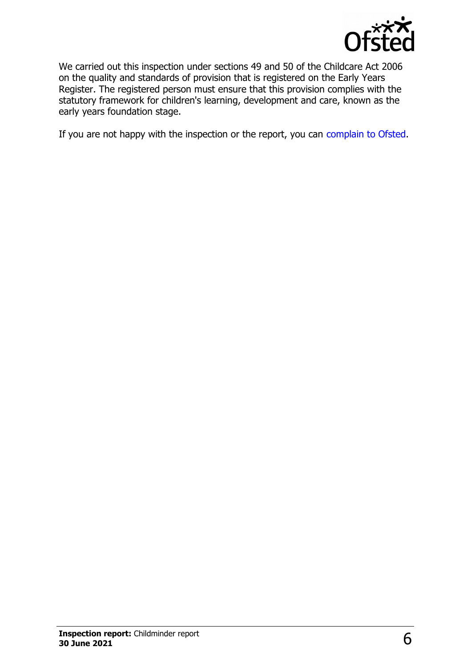

We carried out this inspection under sections 49 and 50 of the Childcare Act 2006 on the quality and standards of provision that is registered on the Early Years Register. The registered person must ensure that this provision complies with the statutory framework for children's learning, development and care, known as the early years foundation stage.

If you are not happy with the inspection or the report, you can [complain to Ofsted.](http://www.gov.uk/complain-ofsted-report)